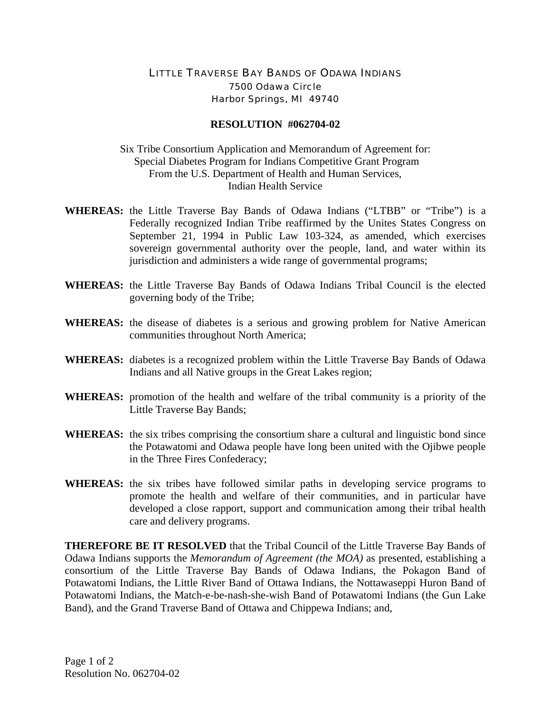## LITTLE TRAVERSE BAY BANDS OF ODAWA INDIANS 7500 Odawa Circle Harbor Springs, MI 49740

## **RESOLUTION #062704-02**

## Six Tribe Consortium Application and Memorandum of Agreement for: Special Diabetes Program for Indians Competitive Grant Program From the U.S. Department of Health and Human Services, Indian Health Service

- **WHEREAS:** the Little Traverse Bay Bands of Odawa Indians ("LTBB" or "Tribe") is a Federally recognized Indian Tribe reaffirmed by the Unites States Congress on September 21, 1994 in Public Law 103-324, as amended, which exercises sovereign governmental authority over the people, land, and water within its jurisdiction and administers a wide range of governmental programs;
- **WHEREAS:** the Little Traverse Bay Bands of Odawa Indians Tribal Council is the elected governing body of the Tribe;
- **WHEREAS:** the disease of diabetes is a serious and growing problem for Native American communities throughout North America;
- **WHEREAS:** diabetes is a recognized problem within the Little Traverse Bay Bands of Odawa Indians and all Native groups in the Great Lakes region;
- **WHEREAS:** promotion of the health and welfare of the tribal community is a priority of the Little Traverse Bay Bands;
- **WHEREAS:** the six tribes comprising the consortium share a cultural and linguistic bond since the Potawatomi and Odawa people have long been united with the Ojibwe people in the Three Fires Confederacy;
- **WHEREAS:** the six tribes have followed similar paths in developing service programs to promote the health and welfare of their communities, and in particular have developed a close rapport, support and communication among their tribal health care and delivery programs.

**THEREFORE BE IT RESOLVED** that the Tribal Council of the Little Traverse Bay Bands of Odawa Indians supports the *Memorandum of Agreement (the MOA)* as presented, establishing a consortium of the Little Traverse Bay Bands of Odawa Indians, the Pokagon Band of Potawatomi Indians, the Little River Band of Ottawa Indians, the Nottawaseppi Huron Band of Potawatomi Indians, the Match-e-be-nash-she-wish Band of Potawatomi Indians (the Gun Lake Band), and the Grand Traverse Band of Ottawa and Chippewa Indians; and,